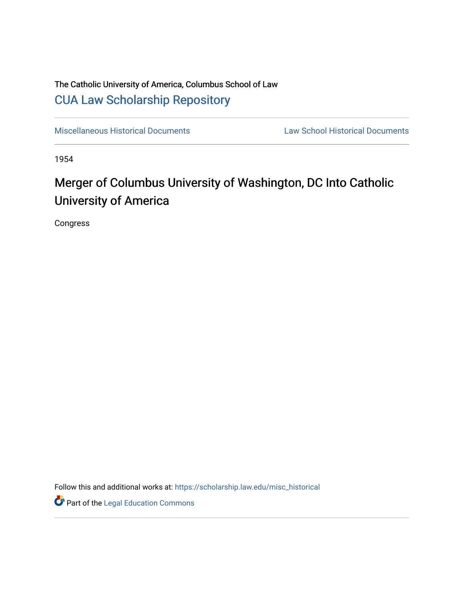## The Catholic University of America, Columbus School of Law [CUA Law Scholarship Repository](https://scholarship.law.edu/)

[Miscellaneous Historical Documents](https://scholarship.law.edu/misc_historical) [Law School Historical Documents](https://scholarship.law.edu/archives) 

1954

# Merger of Columbus University of Washington, DC Into Catholic University of America

Congress

Follow this and additional works at: [https://scholarship.law.edu/misc\\_historical](https://scholarship.law.edu/misc_historical?utm_source=scholarship.law.edu%2Fmisc_historical%2F17&utm_medium=PDF&utm_campaign=PDFCoverPages)

**Part of the Legal Education Commons**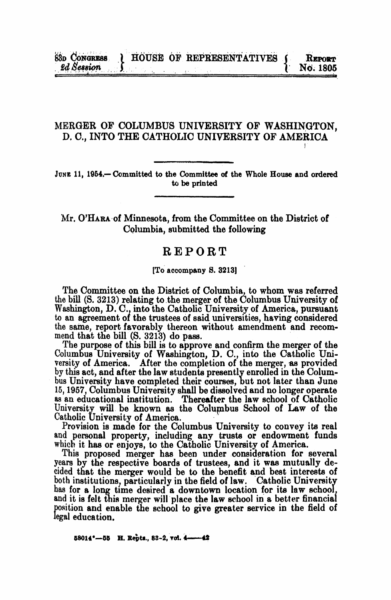### MERGER OF COLUMBUS UNIVERSITY OF WASHINGTON, D. C., INTO THE CATHOLIC UNIVERSITY OF AMERICA

JUNE 11, 1954.— Committed to the Committee of the Whole House and ordered to be printed

Mr. O'HARA of Minnesota, from the Committee on the District of Columbia, submitted the following

## REPORT

#### [To accompany S. 3213]

The Committee on the District of Columbia, to whom was referred the bill (S. 3213) relating to the merger of the Columbus University of Washington, D. C., into the Catholic University of America, pursuant to an agreement of the trustees of said universities, having considered the same, report favorably thereon without amendment and recom-<br>mend that the bill (S. 3213) do pass.

The purpose of this bill is to approve and confirm the merger of the Columbus University of Washington, D. C., into the Catholic University of America. After the completion of the merger, as provided by this act, and after the law students presently enrolled in the Colum-<br>his University have according their equator had not later than June bus University have completed their courses, but not later than June 15, 1957, Columbus University shall be dissolved and no longer operate as an educational institution. Thereafter the law school of Catholic University will be known as the Columbus School of Law of the Catholic University of America.

Provision is made for the Columbus University to convey its real and personal property, including any trusts or endowment funds which it has or enjoys, to the Catholic University of America.

This proposed merger has been under consideration for several years by the respective boards of trustees, and it was mutually decided that the merger would be to the benefit and best interests of both institutions, particularly in the field of law. Catholic University has for a long time desired a downtown location for its law school and it is felt this merger will place the law school in a better financial position and enable the school to give greater service in the field of legal education.